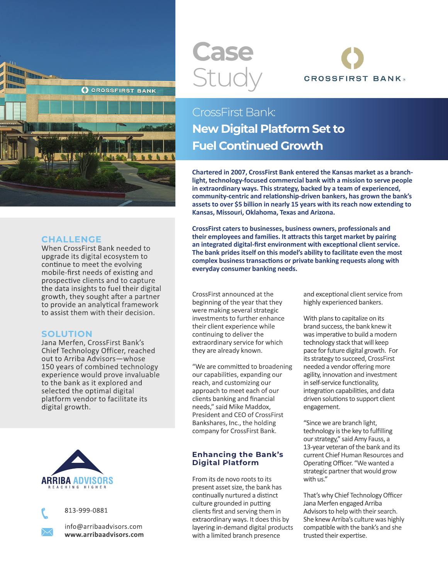

#### **CHALLENGE**

When CrossFirst Bank needed to upgrade its digital ecosystem to continue to meet the evolving mobile-first needs of existing and prospective clients and to capture the data insights to fuel their digital growth, they sought after a partner to provide an analytical framework to assist them with their decision.

### **SOLUTION**

Jana Merfen, CrossFirst Bank's Chief Technology Officer, reached out to Arriba Advisors—whose 150 years of combined technology experience would prove invaluable to the bank as it explored and selected the optimal digital platform vendor to facilitate its digital growth.





info@arribaadvisors.com **www.arribaadvisors.com**

# **Case** Study



## CrossFirst Bank: **New Digital Platform Set to Fuel Continued Growth**

**Chartered in 2007, CrossFirst Bank entered the Kansas market as a branchlight, technology-focused commercial bank with a mission to serve people in extraordinary ways. This strategy, backed by a team of experienced, community-centric and relationship-driven bankers, has grown the bank's assets to over \$5 billion in nearly 15 years with its reach now extending to Kansas, Missouri, Oklahoma, Texas and Arizona.**

**CrossFirst caters to businesses, business owners, professionals and their employees and families. It attracts this target market by pairing an integrated digital-first environment with exceptional client service. The bank prides itself on this model's ability to facilitate even the most complex business transactions or private banking requests along with everyday consumer banking needs.** 

CrossFirst announced at the beginning of the year that they were making several strategic investments to further enhance their client experience while continuing to deliver the extraordinary service for which they are already known.

"We are committed to broadening our capabilities, expanding our reach, and customizing our approach to meet each of our clients banking and financial needs," said Mike Maddox, President and CEO of CrossFirst Bankshares, Inc., the holding company for CrossFirst Bank.

#### **Enhancing the Bank's Digital Platform**

From its de novo roots to its present asset size, the bank has continually nurtured a distinct culture grounded in putting clients first and serving them in extraordinary ways. It does this by layering in-demand digital products with a limited branch presence

and exceptional client service from highly experienced bankers.

With plans to capitalize on its brand success, the bank knew it was imperative to build a modern technology stack that will keep pace for future digital growth. For its strategy to succeed, CrossFirst needed a vendor offering more agility, innovation and investment in self-service functionality, integration capabilities, and data driven solutions to support client engagement.

"Since we are branch light, technology is the key to fulfilling our strategy," said Amy Fauss, a 13-year veteran of the bank and its current Chief Human Resources and Operating Officer. "We wanted a strategic partner that would grow with us."

That's why Chief Technology Officer Jana Merfen engaged Arriba Advisors to help with their search. She knew Arriba's culture was highly compatible with the bank's and she trusted their expertise.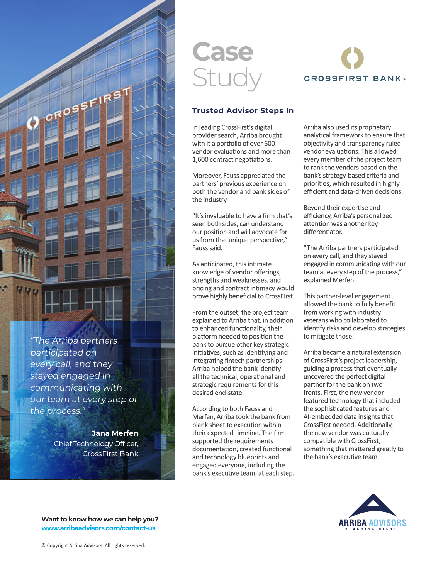

"The Arriba partners participated on every call, and they stayed engaged in communicating with our team at every step of the process."

> **Jana Merfen** Chief Technology Officer, CrossFirst Bank

# **Case** Study



#### **Trusted Advisor Steps In**

In leading CrossFirst's digital provider search, Arriba brought with it a portfolio of over 600 vendor evaluations and more than 1,600 contract negotiations.

Moreover, Fauss appreciated the partners' previous experience on both the vendor and bank sides of the industry.

"It's invaluable to have a firm that's seen both sides, can understand our position and will advocate for us from that unique perspective," Fauss said.

As anticipated, this intimate knowledge of vendor offerings, strengths and weaknesses, and pricing and contract intimacy would prove highly beneficial to CrossFirst.

From the outset, the project team explained to Arriba that, in addition to enhanced functionality, their platform needed to position the bank to pursue other key strategic initiatives, such as identifying and integrating fintech partnerships. Arriba helped the bank identify all the technical, operational and strategic requirements for this desired end-state.

According to both Fauss and Merfen, Arriba took the bank from blank sheet to execution within their expected timeline. The firm supported the requirements documentation, created functional and technology blueprints and engaged everyone, including the bank's executive team, at each step. Arriba also used its proprietary analytical framework to ensure that objectivity and transparency ruled vendor evaluations. This allowed every member of the project team to rank the vendors based on the bank's strategy-based criteria and priorities, which resulted in highly efficient and data-driven decisions.

Beyond their expertise and efficiency, Arriba's personalized attention was another key differentiator.

"The Arriba partners participated on every call, and they stayed engaged in communicating with our team at every step of the process," explained Merfen.

This partner-level engagement allowed the bank to fully benefit from working with industry veterans who collaborated to identify risks and develop strategies to mitigate those.

Arriba became a natural extension of CrossFirst's project leadership, guiding a process that eventually uncovered the perfect digital partner for the bank on two fronts. First, the new vendor featured technology that included the sophisticated features and AI-embedded data insights that CrossFirst needed. Additionally, the new vendor was culturally compatible with CrossFirst, something that mattered greatly to the bank's executive team.



**Want to know how we can help you? www.arribaadvisors.com/contact-us**